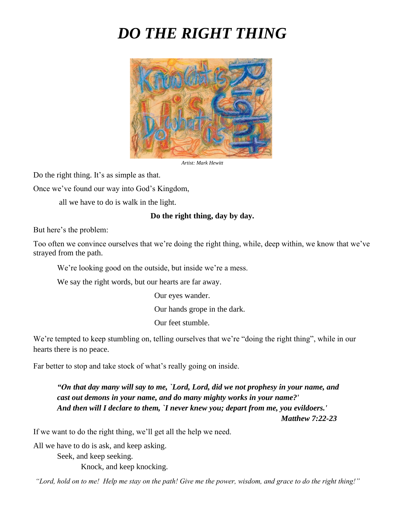## *DO THE RIGHT THING*



*Artist: Mark Hewitt*

Do the right thing. It's as simple as that.

Once we've found our way into God's Kingdom,

all we have to do is walk in the light.

## **Do the right thing, day by day.**

But here's the problem:

Too often we convince ourselves that we're doing the right thing, while, deep within, we know that we've strayed from the path.

We're looking good on the outside, but inside we're a mess.

We say the right words, but our hearts are far away.

Our eyes wander.

Our hands grope in the dark.

Our feet stumble.

We're tempted to keep stumbling on, telling ourselves that we're "doing the right thing", while in our hearts there is no peace.

Far better to stop and take stock of what's really going on inside.

*"On that day many will say to me, `Lord, Lord, did we not prophesy in your name, and cast out demons in your name, and do many mighty works in your name?' And then will I declare to them, `I never knew you; depart from me, you evildoers.'*

 *Matthew 7:22-23*

If we want to do the right thing, we'll get all the help we need.

All we have to do is ask, and keep asking.

 Seek, and keep seeking. Knock, and keep knocking.

*"Lord, hold on to me! Help me stay on the path! Give me the power, wisdom, and grace to do the right thing!"*